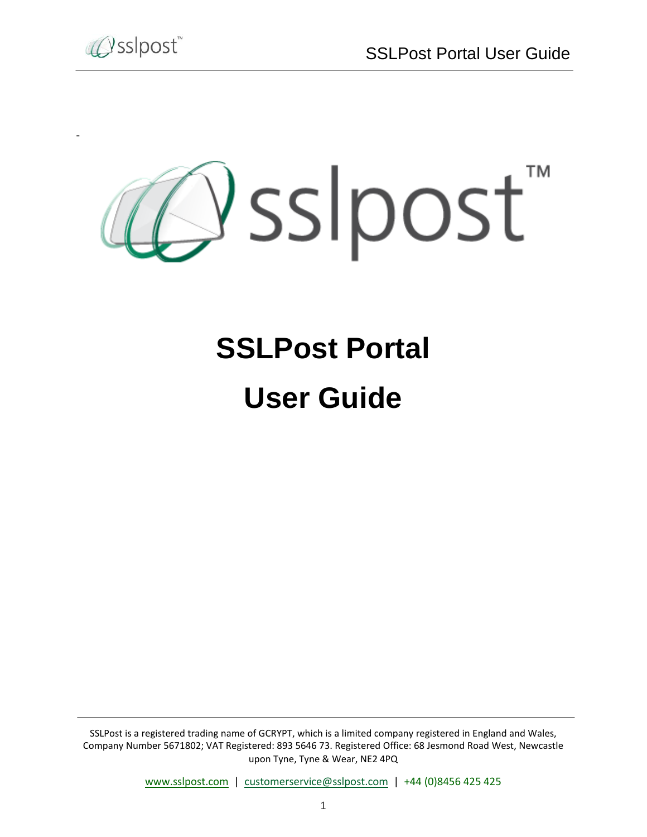

-



# **SSLPost Portal User Guide**

SSLPost is a registered trading name of GCRYPT, which is a limited company registered in England and Wales, Company Number 5671802; VAT Registered: 893 5646 73. Registered Office: 68 Jesmond Road West, Newcastle upon Tyne, Tyne & Wear, NE2 4PQ

[www.sslpost.com](http://www.sslpost.com/) | [customerservice@sslpost.com](mailto:customerservice@sslpost.com) | +44 (0)8456 425 425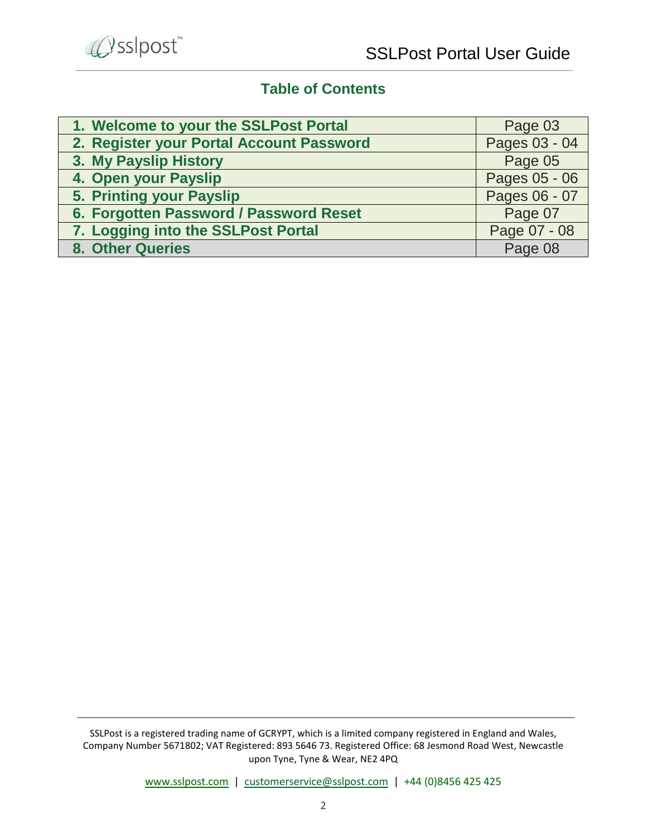

# **Table of Contents**

| 1. Welcome to your the SSLPost Portal    | Page 03       |
|------------------------------------------|---------------|
| 2. Register your Portal Account Password | Pages 03 - 04 |
| 3. My Payslip History                    | Page 05       |
| 4. Open your Payslip                     | Pages 05 - 06 |
| 5. Printing your Payslip                 | Pages 06 - 07 |
| 6. Forgotten Password / Password Reset   | Page 07       |
| 7. Logging into the SSLPost Portal       | Page 07 - 08  |
| 8. Other Queries                         | Page 08       |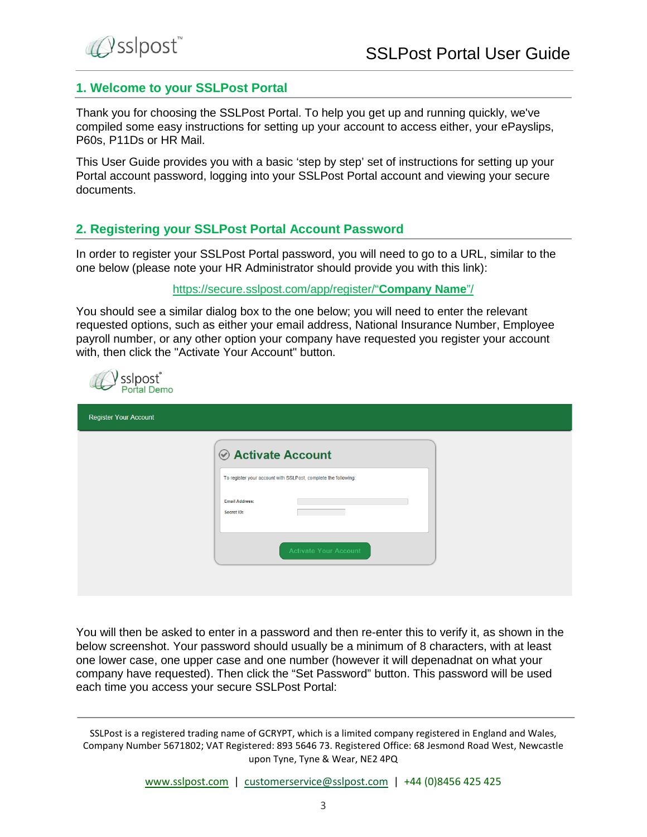

#### **1. Welcome to your SSLPost Portal**

Thank you for choosing the SSLPost Portal. To help you get up and running quickly, we've compiled some easy instructions for setting up your account to access either, your ePayslips, P60s, P11Ds or HR Mail.

This User Guide provides you with a basic 'step by step' set of instructions for setting up your Portal account password, logging into your SSLPost Portal account and viewing your secure documents.

#### **2. Registering your SSLPost Portal Account Password**

In order to register your SSLPost Portal password, you will need to go to a URL, similar to the one below (please note your HR Administrator should provide you with this link):

#### [https://secure.sslpost.com/app/register/"](https://secure.sslpost.com/app/register/“Company%20Name”/)**Company Name**"/

You should see a similar dialog box to the one below; you will need to enter the relevant requested options, such as either your email address, National Insurance Number, Employee payroll number, or any other option your company have requested you register your account with, then click the "Activate Your Account" button.



| <b>Register Your Account</b> |                                                                |
|------------------------------|----------------------------------------------------------------|
|                              | <b>⊘ Activate Account</b>                                      |
|                              | To register your account with SSLPost, complete the following: |
|                              | <b>Email Address:</b><br>Secret ID:                            |
|                              | <b>Activate Your Account</b>                                   |
|                              |                                                                |

You will then be asked to enter in a password and then re-enter this to verify it, as shown in the below screenshot. Your password should usually be a minimum of 8 characters, with at least one lower case, one upper case and one number (however it will depenadnat on what your company have requested). Then click the "Set Password" button. This password will be used each time you access your secure SSLPost Portal: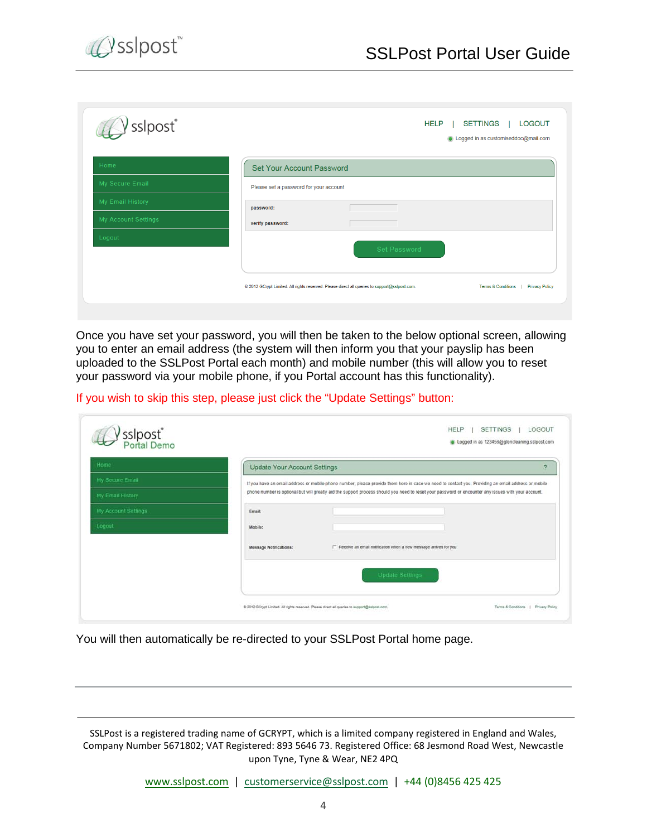

| <b>HELP</b><br><b>LOGOUT</b><br>SETTINGS<br>Logged in as customiseddoc@mail.com                                                                |
|------------------------------------------------------------------------------------------------------------------------------------------------|
| Set Your Account Password                                                                                                                      |
| Please set a password for your account<br>password:                                                                                            |
| verify password:                                                                                                                               |
| Set Password                                                                                                                                   |
| @ 2012 GCrypt Limited. All rights reserved. Please direct all queries to support@sslpost.com.<br>Terms & Conditions  <br><b>Privacy Policy</b> |
|                                                                                                                                                |

Once you have set your password, you will then be taken to the below optional screen, allowing you to enter an email address (the system will then inform you that your payslip has been uploaded to the SSLPost Portal each month) and mobile number (this will allow you to reset your password via your mobile phone, if you Portal account has this functionality).

If you wish to skip this step, please just click the "Update Settings" button:

| Home                | Update Your Account Settings |                                                                                                                                                     | c |
|---------------------|------------------------------|-----------------------------------------------------------------------------------------------------------------------------------------------------|---|
| My Secure Email     |                              | If you have an email address or mobile phone number, please provide them here in case we need to contact you. Providing an email address or mobile  |   |
| My Email History    |                              | phone number is optional but will greatly aid the support process should you need to reset your password or encounter any issues with your account. |   |
| My Account Settings | Email:                       |                                                                                                                                                     |   |
| Logout              | Mobile:                      |                                                                                                                                                     |   |
|                     | Message Notifications:       | F Receive an email notification when a new message arrives for you                                                                                  |   |
|                     |                              | <b>Update Settings</b>                                                                                                                              |   |

You will then automatically be re-directed to your SSLPost Portal home page.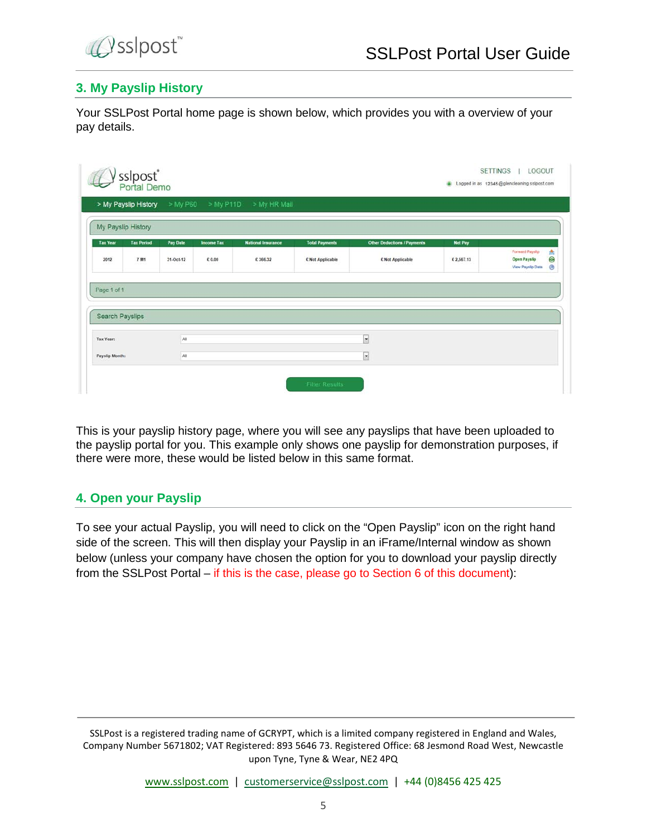

# **3. My Payslip History**

Your SSLPost Portal home page is shown below, which provides you with a overview of your pay details.

|                              | > My Payslip History |           |                   | > My P60 > My P11D > My HR Mail |                       |                                    |                |                                                             |
|------------------------------|----------------------|-----------|-------------------|---------------------------------|-----------------------|------------------------------------|----------------|-------------------------------------------------------------|
|                              | My Payslip History   |           |                   |                                 |                       |                                    |                |                                                             |
| <b>Tax Year</b>              | <b>Tax Period</b>    | Pay Date  | <b>Income Tax</b> | <b>National Insurance</b>       | <b>Total Payments</b> | <b>Other Deductions / Payments</b> | <b>Net Pay</b> |                                                             |
| 2012                         | 7 M1                 | 31-Oct-12 | € 0.00            | € 366.32                        | € Not Applicable      | <b>E Not Applicable</b>            | € 2,567.13     | Forward Payslip<br><b>Open Payslip</b><br>View Payslip Data |
|                              |                      |           |                   |                                 |                       |                                    |                |                                                             |
|                              |                      |           |                   |                                 |                       |                                    |                |                                                             |
| Page 1 of 1                  |                      |           |                   |                                 |                       |                                    |                |                                                             |
|                              |                      |           |                   |                                 |                       |                                    |                |                                                             |
| Search Payslips<br>Tax Year: |                      | All       |                   |                                 |                       | $\overline{\phantom{0}}$           |                |                                                             |

This is your payslip history page, where you will see any payslips that have been uploaded to the payslip portal for you. This example only shows one payslip for demonstration purposes, if there were more, these would be listed below in this same format.

## **4. Open your Payslip**

To see your actual Payslip, you will need to click on the "Open Payslip" icon on the right hand side of the screen. This will then display your Payslip in an iFrame/Internal window as shown below (unless your company have chosen the option for you to download your payslip directly from the SSLPost Portal – if this is the case, please go to Section 6 of this document):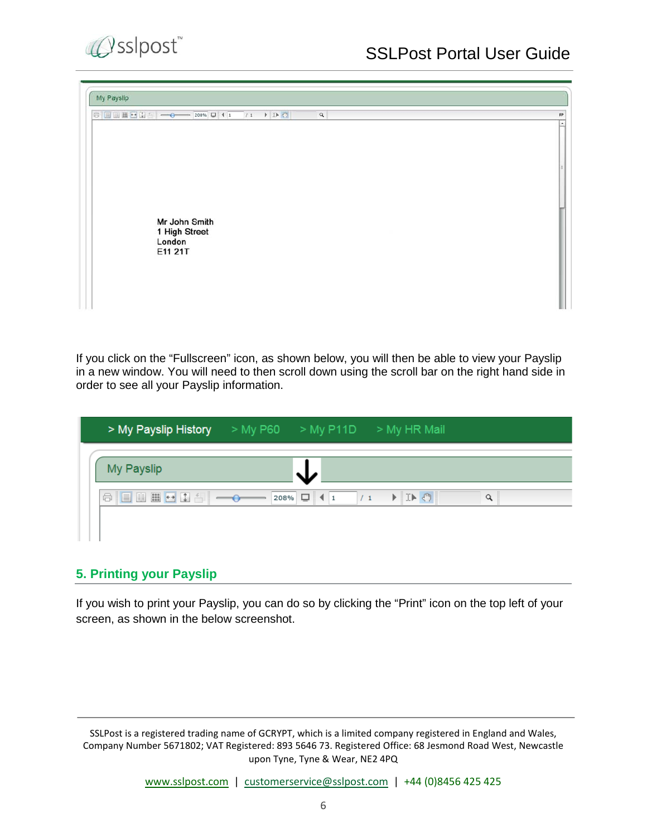

| My Payslip                                                                                                                                                                                                                                                                                                                                                                                                                                                                                                                                                          |                                |
|---------------------------------------------------------------------------------------------------------------------------------------------------------------------------------------------------------------------------------------------------------------------------------------------------------------------------------------------------------------------------------------------------------------------------------------------------------------------------------------------------------------------------------------------------------------------|--------------------------------|
| $\textcircled{1} \text{array} \text{array} \textcircled{1} \text{array} \textcircled{1} \text{array} \textcircled{1} \text{array} \textcircled{1} \text{array} \textcircled{1} \text{array} \textcircled{1} \text{array} \textcircled{1} \text{array} \textcircled{1} \text{array} \textcircled{1} \text{array} \textcircled{1} \text{array} \textcircled{1} \text{array} \textcircled{1} \text{array} \textcircled{1} \text{array} \textcircled{1} \text{array} \textcircled{1} \text{array} \textcircled{1} \text{array} \textcircled{1} \text{array$<br>$\alpha$ | FP<br>$\overline{\phantom{a}}$ |
|                                                                                                                                                                                                                                                                                                                                                                                                                                                                                                                                                                     |                                |
| Mr John Smith<br>1 High Street<br>London<br>E11 21T                                                                                                                                                                                                                                                                                                                                                                                                                                                                                                                 |                                |

If you click on the "Fullscreen" icon, as shown below, you will then be able to view your Payslip in a new window. You will need to then scroll down using the scroll bar on the right hand side in order to see all your Payslip information.

|            | > My Payslip History > My P60 > My P11D > My HR Mail |                                                         |          |
|------------|------------------------------------------------------|---------------------------------------------------------|----------|
| My Payslip |                                                      |                                                         |          |
|            |                                                      | $\rightarrow$ $\rightarrow$ $\rightarrow$ $\rightarrow$ | $\alpha$ |
|            |                                                      |                                                         |          |

## **5. Printing your Payslip**

If you wish to print your Payslip, you can do so by clicking the "Print" icon on the top left of your screen, as shown in the below screenshot.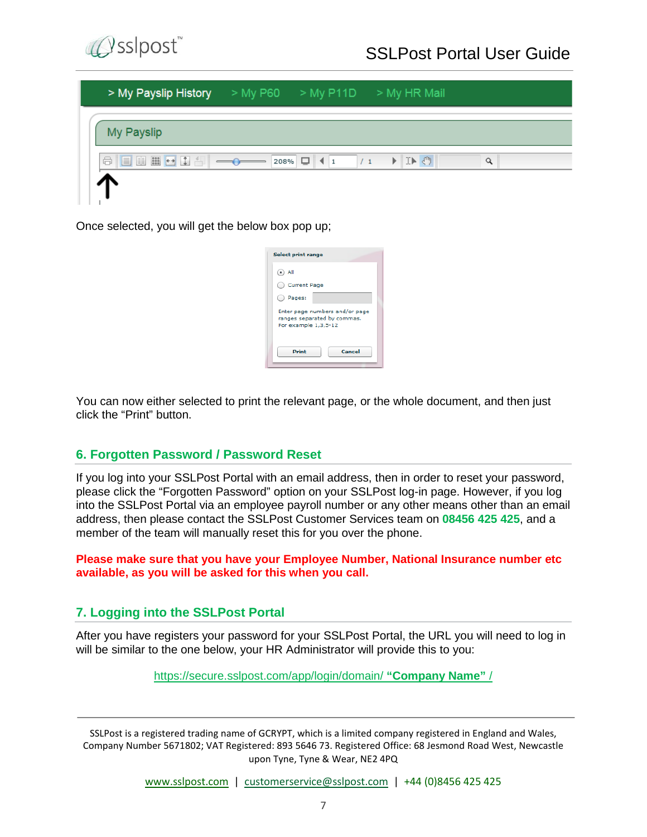

| > My Payslip History > My P60 > My P11D > My HR Mail |  |   |
|------------------------------------------------------|--|---|
| My Payslip                                           |  |   |
| <b>日目田田口白白 ── 208% ロ (1 7/1 ) ID ①</b>               |  | Q |
|                                                      |  |   |

Once selected, you will get the below box pop up;

| <b>Select print range</b>                                                             |
|---------------------------------------------------------------------------------------|
| $($ •) All                                                                            |
| <b>Current Page</b>                                                                   |
| Pages:                                                                                |
| Enter page numbers and/or page<br>ranges separated by commas.<br>For example 1,3,5-12 |
| Cancel<br><b>Print</b>                                                                |

You can now either selected to print the relevant page, or the whole document, and then just click the "Print" button.

## **6. Forgotten Password / Password Reset**

If you log into your SSLPost Portal with an email address, then in order to reset your password, please click the "Forgotten Password" option on your SSLPost log-in page. However, if you log into the SSLPost Portal via an employee payroll number or any other means other than an email address, then please contact the SSLPost Customer Services team on **08456 425 425**, and a member of the team will manually reset this for you over the phone.

#### **Please make sure that you have your Employee Number, National Insurance number etc available, as you will be asked for this when you call.**

## **7. Logging into the SSLPost Portal**

After you have registers your password for your SSLPost Portal, the URL you will need to log in will be similar to the one below, your HR Administrator will provide this to you:

[https://secure.sslpost.com/app/login/domain/](https://secure.sslpost.com/app/login/domain/%20“Company%20Name”%20/) **"Company Name"** /